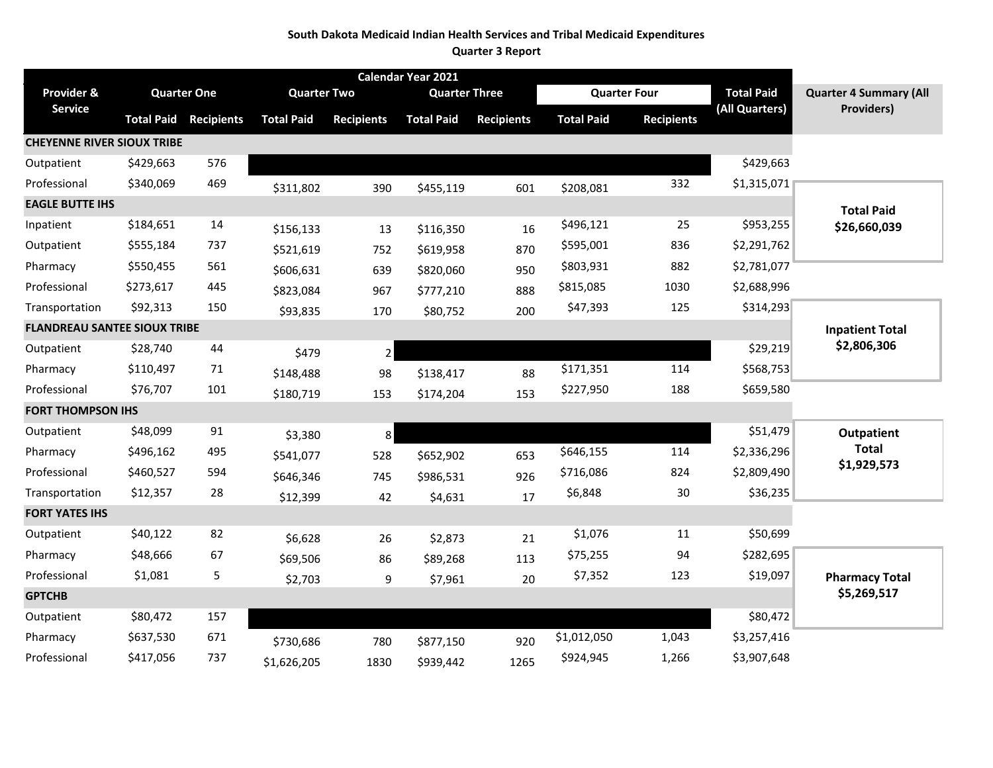#### **South Dakota Medicaid Indian Health Services and Tribal Medicaid Expenditures**

**Quarter 3 Report**

| Calendar Year 2021                  |                    |                   |                    |                   |                      |                   |                     |                   |                   |                               |
|-------------------------------------|--------------------|-------------------|--------------------|-------------------|----------------------|-------------------|---------------------|-------------------|-------------------|-------------------------------|
| Provider &                          | <b>Quarter One</b> |                   | <b>Quarter Two</b> |                   | <b>Quarter Three</b> |                   | <b>Quarter Four</b> |                   | <b>Total Paid</b> | <b>Quarter 4 Summary (All</b> |
| <b>Service</b>                      | <b>Total Paid</b>  | <b>Recipients</b> | <b>Total Paid</b>  | <b>Recipients</b> | <b>Total Paid</b>    | <b>Recipients</b> | <b>Total Paid</b>   | <b>Recipients</b> | (All Quarters)    | <b>Providers)</b>             |
| <b>CHEYENNE RIVER SIOUX TRIBE</b>   |                    |                   |                    |                   |                      |                   |                     |                   |                   |                               |
| Outpatient                          | \$429,663          | 576               |                    |                   |                      |                   |                     |                   | \$429,663         |                               |
| Professional                        | \$340,069          | 469               | \$311,802          | 390               | \$455,119            | 601               | \$208,081           | 332               | \$1,315,071       |                               |
| <b>EAGLE BUTTE IHS</b>              |                    |                   |                    |                   |                      |                   |                     |                   |                   | <b>Total Paid</b>             |
| Inpatient                           | \$184,651          | 14                | \$156,133          | 13                | \$116,350            | 16                | \$496,121           | 25                | \$953,255         | \$26,660,039                  |
| Outpatient                          | \$555,184          | 737               | \$521,619          | 752               | \$619,958            | 870               | \$595,001           | 836               | \$2,291,762       |                               |
| Pharmacy                            | \$550,455          | 561               | \$606,631          | 639               | \$820,060            | 950               | \$803,931           | 882               | \$2,781,077       |                               |
| Professional                        | \$273,617          | 445               | \$823,084          | 967               | \$777,210            | 888               | \$815,085           | 1030              | \$2,688,996       |                               |
| Transportation                      | \$92,313           | 150               | \$93,835           | 170               | \$80,752             | 200               | \$47,393            | 125               | \$314,293         |                               |
| <b>FLANDREAU SANTEE SIOUX TRIBE</b> |                    |                   |                    |                   |                      |                   |                     |                   |                   | <b>Inpatient Total</b>        |
| Outpatient                          | \$28,740           | 44                | \$479              | $\overline{2}$    |                      |                   |                     |                   | \$29,219          | \$2,806,306                   |
| Pharmacy                            | \$110,497          | 71                | \$148,488          | 98                | \$138,417            | 88                | \$171,351           | 114               | \$568,753         |                               |
| Professional                        | \$76,707           | 101               | \$180,719          | 153               | \$174,204            | 153               | \$227,950           | 188               | \$659,580         |                               |
| <b>FORT THOMPSON IHS</b>            |                    |                   |                    |                   |                      |                   |                     |                   |                   |                               |
| Outpatient                          | \$48,099           | 91                | \$3,380            | 8                 |                      |                   |                     |                   | \$51,479          | <b>Outpatient</b>             |
| Pharmacy                            | \$496,162          | 495               | \$541,077          | 528               | \$652,902            | 653               | \$646,155           | 114               | \$2,336,296       | <b>Total</b>                  |
| Professional                        | \$460,527          | 594               | \$646,346          | 745               | \$986,531            | 926               | \$716,086           | 824               | \$2,809,490       | \$1,929,573                   |
| Transportation                      | \$12,357           | 28                | \$12,399           | 42                | \$4,631              | 17                | \$6,848             | 30                | \$36,235          |                               |
| <b>FORT YATES IHS</b>               |                    |                   |                    |                   |                      |                   |                     |                   |                   |                               |
| Outpatient                          | \$40,122           | 82                | \$6,628            | 26                | \$2,873              | 21                | \$1,076             | 11                | \$50,699          |                               |
| Pharmacy                            | \$48,666           | 67                | \$69,506           | 86                | \$89,268             | 113               | \$75,255            | 94                | \$282,695         |                               |
| Professional                        | \$1,081            | 5                 | \$2,703            | 9                 | \$7,961              | 20                | \$7,352             | 123               | \$19,097          | <b>Pharmacy Total</b>         |
| <b>GPTCHB</b>                       |                    |                   |                    |                   |                      |                   |                     |                   |                   | \$5,269,517                   |
| Outpatient                          | \$80,472           | 157               |                    |                   |                      |                   |                     |                   | \$80,472          |                               |
| Pharmacy                            | \$637,530          | 671               | \$730,686          | 780               | \$877,150            | 920               | \$1,012,050         | 1,043             | \$3,257,416       |                               |
| Professional                        | \$417,056          | 737               | \$1,626,205        | 1830              | \$939,442            | 1265              | \$924,945           | 1,266             | \$3,907,648       |                               |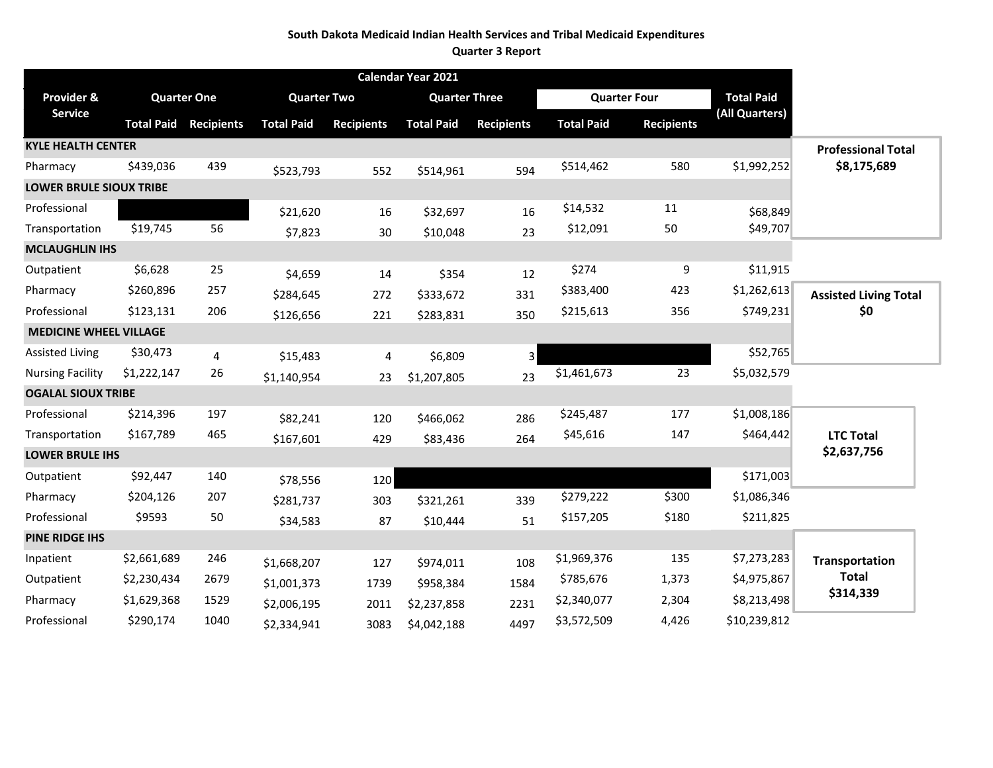### **South Dakota Medicaid Indian Health Services and Tribal Medicaid Expenditures**

**Quarter 3 Report**

| Calendar Year 2021             |                    |                   |                    |                   |                      |                   |                     |                   |                   |                              |
|--------------------------------|--------------------|-------------------|--------------------|-------------------|----------------------|-------------------|---------------------|-------------------|-------------------|------------------------------|
| Provider &                     | <b>Quarter One</b> |                   | <b>Quarter Two</b> |                   | <b>Quarter Three</b> |                   | <b>Quarter Four</b> |                   | <b>Total Paid</b> |                              |
| <b>Service</b>                 | <b>Total Paid</b>  | <b>Recipients</b> | <b>Total Paid</b>  | <b>Recipients</b> | <b>Total Paid</b>    | <b>Recipients</b> | <b>Total Paid</b>   | <b>Recipients</b> | (All Quarters)    |                              |
| <b>KYLE HEALTH CENTER</b>      |                    |                   |                    |                   |                      |                   |                     |                   |                   | <b>Professional Total</b>    |
| Pharmacy                       | \$439,036          | 439               | \$523,793          | 552               | \$514,961            | 594               | \$514,462           | 580               | \$1,992,252       | \$8,175,689                  |
| <b>LOWER BRULE SIOUX TRIBE</b> |                    |                   |                    |                   |                      |                   |                     |                   |                   |                              |
| Professional                   |                    |                   | \$21,620           | 16                | \$32,697             | 16                | \$14,532            | 11                | \$68,849          |                              |
| Transportation                 | \$19,745           | 56                | \$7,823            | 30                | \$10,048             | 23                | \$12,091            | 50                | \$49,707          |                              |
| <b>MCLAUGHLIN IHS</b>          |                    |                   |                    |                   |                      |                   |                     |                   |                   |                              |
| Outpatient                     | \$6,628            | 25                | \$4,659            | 14                | \$354                | 12                | \$274               | 9                 | \$11,915          |                              |
| Pharmacy                       | \$260,896          | 257               | \$284,645          | 272               | \$333,672            | 331               | \$383,400           | 423               | \$1,262,613       | <b>Assisted Living Total</b> |
| Professional                   | \$123,131          | 206               | \$126,656          | 221               | \$283,831            | 350               | \$215,613           | 356               | \$749,231         | \$0                          |
| <b>MEDICINE WHEEL VILLAGE</b>  |                    |                   |                    |                   |                      |                   |                     |                   |                   |                              |
| <b>Assisted Living</b>         | \$30,473           | 4                 | \$15,483           | 4                 | \$6,809              | 3                 |                     |                   | \$52,765          |                              |
| <b>Nursing Facility</b>        | \$1,222,147        | 26                | \$1,140,954        | 23                | \$1,207,805          | 23                | \$1,461,673         | 23                | \$5,032,579       |                              |
| <b>OGALAL SIOUX TRIBE</b>      |                    |                   |                    |                   |                      |                   |                     |                   |                   |                              |
| Professional                   | \$214,396          | 197               | \$82,241           | 120               | \$466,062            | 286               | \$245,487           | 177               | \$1,008,186       |                              |
| Transportation                 | \$167,789          | 465               | \$167,601          | 429               | \$83,436             | 264               | \$45,616            | 147               | \$464,442         | <b>LTC Total</b>             |
| <b>LOWER BRULE IHS</b>         |                    |                   |                    |                   |                      |                   |                     |                   |                   | \$2,637,756                  |
| Outpatient                     | \$92,447           | 140               | \$78,556           | 120               |                      |                   |                     |                   | \$171,003         |                              |
| Pharmacy                       | \$204,126          | 207               | \$281,737          | 303               | \$321,261            | 339               | \$279,222           | \$300             | \$1,086,346       |                              |
| Professional                   | \$9593             | 50                | \$34,583           | 87                | \$10,444             | 51                | \$157,205           | \$180             | \$211,825         |                              |
| <b>PINE RIDGE IHS</b>          |                    |                   |                    |                   |                      |                   |                     |                   |                   |                              |
| Inpatient                      | \$2,661,689        | 246               | \$1,668,207        | 127               | \$974,011            | 108               | \$1,969,376         | 135               | \$7,273,283       | <b>Transportation</b>        |
| Outpatient                     | \$2,230,434        | 2679              | \$1,001,373        | 1739              | \$958,384            | 1584              | \$785,676           | 1,373             | \$4,975,867       | <b>Total</b>                 |
| Pharmacy                       | \$1,629,368        | 1529              | \$2,006,195        | 2011              | \$2,237,858          | 2231              | \$2,340,077         | 2,304             | \$8,213,498       | \$314,339                    |
| Professional                   | \$290,174          | 1040              | \$2,334,941        | 3083              | \$4,042,188          | 4497              | \$3,572,509         | 4,426             | \$10,239,812      |                              |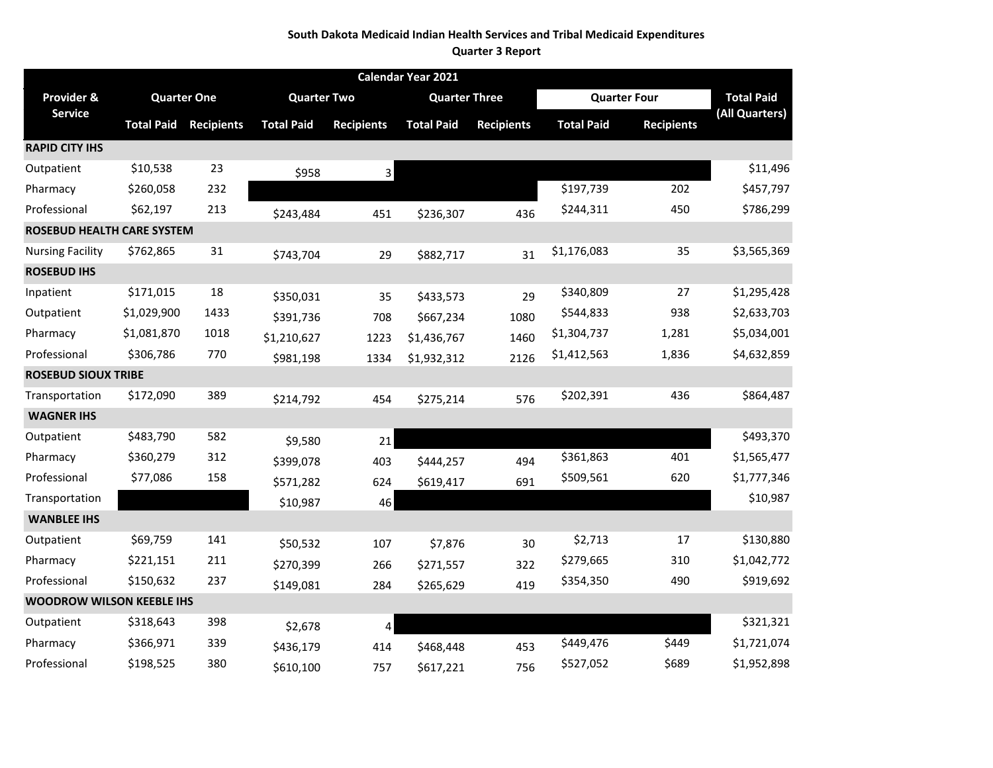#### **South Dakota Medicaid Indian Health Services and Tribal Medicaid Expenditures**

**Quarter 3 Report**

|                                   |                   |                    |                    |                   | Calendar Year 2021   |                   |                     |                   |                   |
|-----------------------------------|-------------------|--------------------|--------------------|-------------------|----------------------|-------------------|---------------------|-------------------|-------------------|
| Provider &                        |                   | <b>Quarter One</b> | <b>Quarter Two</b> |                   | <b>Quarter Three</b> |                   | <b>Quarter Four</b> |                   | <b>Total Paid</b> |
| <b>Service</b>                    | <b>Total Paid</b> | <b>Recipients</b>  | <b>Total Paid</b>  | <b>Recipients</b> | <b>Total Paid</b>    | <b>Recipients</b> | <b>Total Paid</b>   | <b>Recipients</b> | (All Quarters)    |
| <b>RAPID CITY IHS</b>             |                   |                    |                    |                   |                      |                   |                     |                   |                   |
| Outpatient                        | \$10,538          | 23                 | \$958              | 3                 |                      |                   |                     |                   | \$11,496          |
| Pharmacy                          | \$260,058         | 232                |                    |                   |                      |                   | \$197,739           | 202               | \$457,797         |
| Professional                      | \$62,197          | 213                | \$243,484          | 451               | \$236,307            | 436               | \$244,311           | 450               | \$786,299         |
| <b>ROSEBUD HEALTH CARE SYSTEM</b> |                   |                    |                    |                   |                      |                   |                     |                   |                   |
| <b>Nursing Facility</b>           | \$762,865         | 31                 | \$743,704          | 29                | \$882,717            | 31                | \$1,176,083         | 35                | \$3,565,369       |
| <b>ROSEBUD IHS</b>                |                   |                    |                    |                   |                      |                   |                     |                   |                   |
| Inpatient                         | \$171,015         | 18                 | \$350,031          | 35                | \$433,573            | 29                | \$340,809           | 27                | \$1,295,428       |
| Outpatient                        | \$1,029,900       | 1433               | \$391,736          | 708               | \$667,234            | 1080              | \$544,833           | 938               | \$2,633,703       |
| Pharmacy                          | \$1,081,870       | 1018               | \$1,210,627        | 1223              | \$1,436,767          | 1460              | \$1,304,737         | 1,281             | \$5,034,001       |
| Professional                      | \$306,786         | 770                | \$981,198          | 1334              | \$1,932,312          | 2126              | \$1,412,563         | 1,836             | \$4,632,859       |
| <b>ROSEBUD SIOUX TRIBE</b>        |                   |                    |                    |                   |                      |                   |                     |                   |                   |
| Transportation                    | \$172,090         | 389                | \$214,792          | 454               | \$275,214            | 576               | \$202,391           | 436               | \$864,487         |
| <b>WAGNER IHS</b>                 |                   |                    |                    |                   |                      |                   |                     |                   |                   |
| Outpatient                        | \$483,790         | 582                | \$9,580            | 21                |                      |                   |                     |                   | \$493,370         |
| Pharmacy                          | \$360,279         | 312                | \$399,078          | 403               | \$444,257            | 494               | \$361,863           | 401               | \$1,565,477       |
| Professional                      | \$77,086          | 158                | \$571,282          | 624               | \$619,417            | 691               | \$509,561           | 620               | \$1,777,346       |
| Transportation                    |                   |                    | \$10,987           | 46                |                      |                   |                     |                   | \$10,987          |
| <b>WANBLEE IHS</b>                |                   |                    |                    |                   |                      |                   |                     |                   |                   |
| Outpatient                        | \$69,759          | 141                | \$50,532           | 107               | \$7,876              | 30                | \$2,713             | 17                | \$130,880         |
| Pharmacy                          | \$221,151         | 211                | \$270,399          | 266               | \$271,557            | 322               | \$279,665           | 310               | \$1,042,772       |
| Professional                      | \$150,632         | 237                | \$149,081          | 284               | \$265,629            | 419               | \$354,350           | 490               | \$919,692         |
| <b>WOODROW WILSON KEEBLE IHS</b>  |                   |                    |                    |                   |                      |                   |                     |                   |                   |
| Outpatient                        | \$318,643         | 398                | \$2,678            | 4                 |                      |                   |                     |                   | \$321,321         |
| Pharmacy                          | \$366,971         | 339                | \$436,179          | 414               | \$468,448            | 453               | \$449,476           | \$449             | \$1,721,074       |
| Professional                      | \$198,525         | 380                | \$610,100          | 757               | \$617,221            | 756               | \$527,052           | \$689             | \$1,952,898       |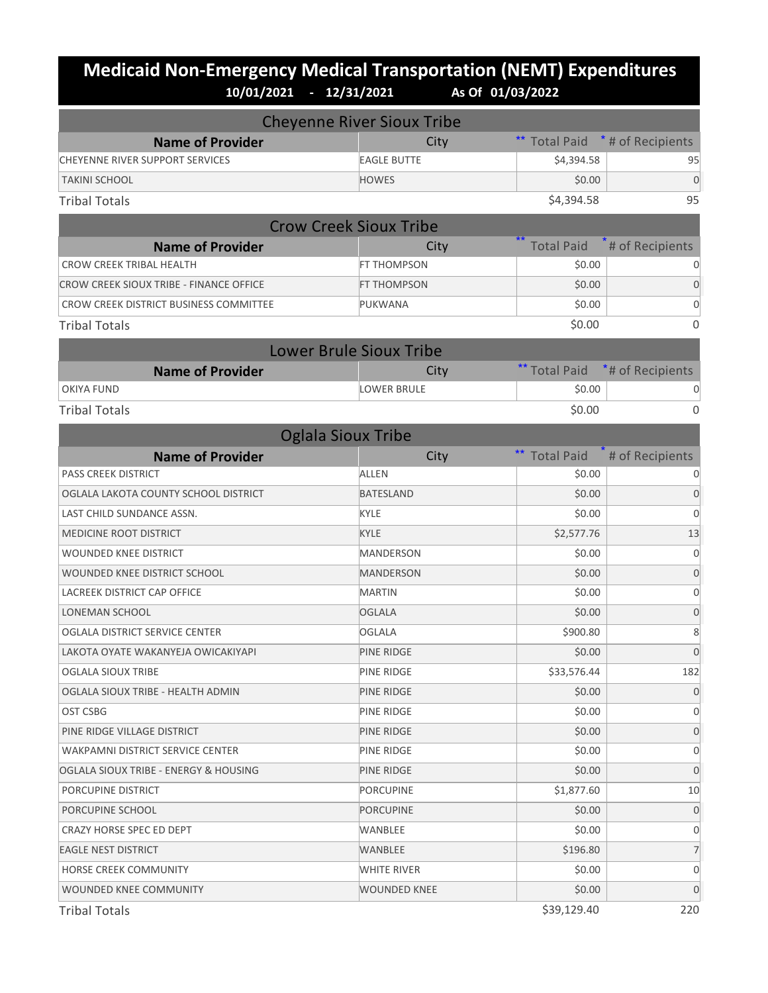## **Medicaid Non-Emergency Medical Transportation (NEMT) Expenditures 10/01/2021 - 12/31/2021 As Of 01/03/2022**

|                                                | <b>Cheyenne River Sioux Tribe</b> |                   |                   |
|------------------------------------------------|-----------------------------------|-------------------|-------------------|
| <b>Name of Provider</b>                        | City                              | <b>Total Paid</b> | * # of Recipients |
| CHEYENNE RIVER SUPPORT SERVICES                | <b>EAGLE BUTTE</b>                | \$4,394.58        | 95                |
| <b>TAKINI SCHOOL</b>                           | <b>HOWES</b>                      | \$0.00            | $\mathbf 0$       |
| <b>Tribal Totals</b>                           |                                   | \$4,394.58        | 95                |
|                                                | <b>Crow Creek Sioux Tribe</b>     |                   |                   |
| <b>Name of Provider</b>                        | City                              | <b>Total Paid</b> | # of Recipients   |
| <b>CROW CREEK TRIBAL HEALTH</b>                | FT THOMPSON                       | \$0.00            | 0                 |
| <b>CROW CREEK SIOUX TRIBE - FINANCE OFFICE</b> | FT THOMPSON                       | \$0.00            | $\mathbf 0$       |
| CROW CREEK DISTRICT BUSINESS COMMITTEE         | PUKWANA                           | \$0.00            | 0                 |
| <b>Tribal Totals</b>                           |                                   | \$0.00            | 0                 |
|                                                | <b>Lower Brule Sioux Tribe</b>    |                   |                   |
| <b>Name of Provider</b>                        | City                              | ** Total Paid     | *# of Recipients  |
| <b>OKIYA FUND</b>                              | <b>LOWER BRULE</b>                | \$0.00            | 0                 |
| <b>Tribal Totals</b>                           |                                   | \$0.00            | 0                 |
|                                                | <b>Oglala Sioux Tribe</b>         |                   |                   |
| <b>Name of Provider</b>                        | City                              | <b>Total Paid</b> | # of Recipients   |
| <b>PASS CREEK DISTRICT</b>                     | <b>ALLEN</b>                      | \$0.00            | 0                 |
| OGLALA LAKOTA COUNTY SCHOOL DISTRICT           | <b>BATESLAND</b>                  | \$0.00            | $\mathbf 0$       |
| LAST CHILD SUNDANCE ASSN.                      | KYLE                              | \$0.00            | $\mathbf 0$       |
| <b>MEDICINE ROOT DISTRICT</b>                  | <b>KYLE</b>                       | \$2,577.76        | 13                |
| WOUNDED KNEE DISTRICT                          | MANDERSON                         | \$0.00            | 0                 |
| WOUNDED KNEE DISTRICT SCHOOL                   | <b>MANDERSON</b>                  | \$0.00            | $\mathbf 0$       |
| LACREEK DISTRICT CAP OFFICE                    | <b>MARTIN</b>                     | \$0.00            | 0                 |
| <b>LONEMAN SCHOOL</b>                          | <b>OGLALA</b>                     | \$0.00            | $\mathbf 0$       |
| OGLALA DISTRICT SERVICE CENTER                 | <b>OGLALA</b>                     | \$900.80          | 8                 |
| LAKOTA OYATE WAKANYEJA OWICAKIYAPI             | PINE RIDGE                        | \$0.00            | $\mathbf 0$       |
| OGLALA SIOUX TRIBE                             | PINE RIDGE                        | \$33,576.44       | 182               |
| OGLALA SIOUX TRIBE - HEALTH ADMIN              | PINE RIDGE                        | \$0.00            | $\mathbf 0$       |
| OST CSBG                                       | PINE RIDGE                        | \$0.00            | 0                 |
| PINE RIDGE VILLAGE DISTRICT                    | PINE RIDGE                        | \$0.00            | $\mathbf 0$       |
| WAKPAMNI DISTRICT SERVICE CENTER               | PINE RIDGE                        | \$0.00            | 0                 |
| OGLALA SIOUX TRIBE - ENERGY & HOUSING          | PINE RIDGE                        | \$0.00            | 0                 |
| PORCUPINE DISTRICT                             | <b>PORCUPINE</b>                  | \$1,877.60        | 10                |
| PORCUPINE SCHOOL                               | <b>PORCUPINE</b>                  | \$0.00            | 0                 |
| CRAZY HORSE SPEC ED DEPT                       | WANBLEE                           | \$0.00            | 0                 |
| <b>EAGLE NEST DISTRICT</b>                     | WANBLEE                           | \$196.80          | 7                 |
| HORSE CREEK COMMUNITY                          | WHITE RIVER                       | \$0.00            | 0                 |
| WOUNDED KNEE COMMUNITY                         | WOUNDED KNEE                      | \$0.00            | $\mathbf 0$       |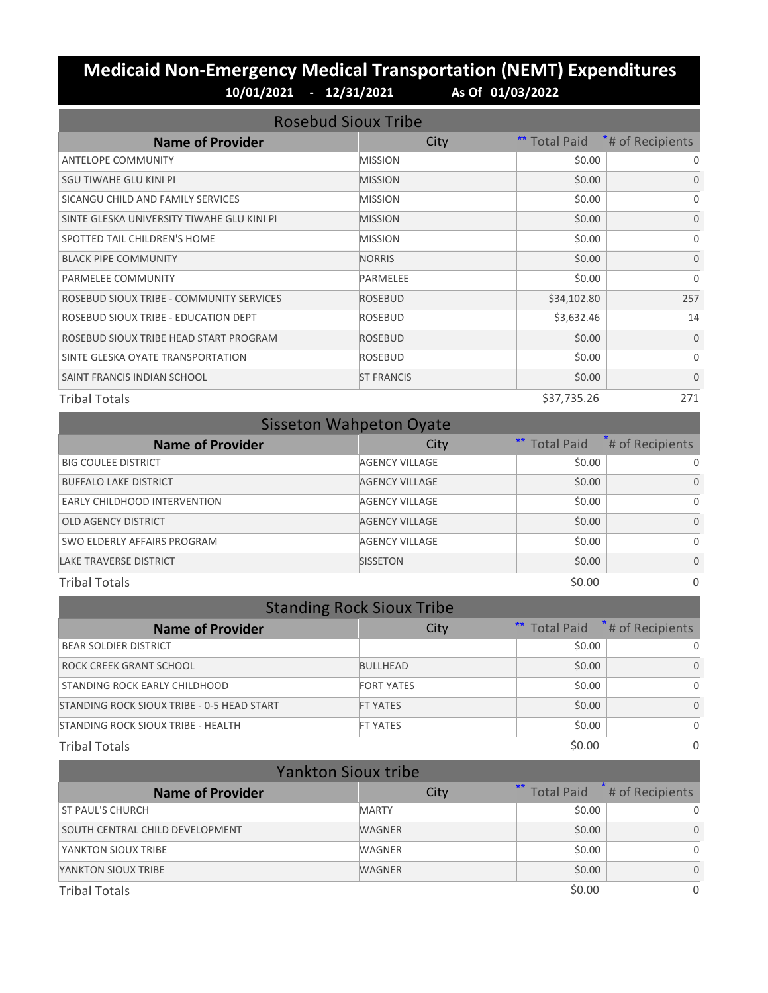## **Medicaid Non-Emergency Medical Transportation (NEMT) Expenditures 10/01/2021 - 12/31/2021 As Of 01/03/2022**

| <b>Rosebud Sioux Tribe</b>                 |                   |                      |                  |  |  |  |
|--------------------------------------------|-------------------|----------------------|------------------|--|--|--|
| <b>Name of Provider</b>                    | City              | <b>** Total Paid</b> | *# of Recipients |  |  |  |
| <b>ANTELOPE COMMUNITY</b>                  | <b>MISSION</b>    | \$0.00               | 0                |  |  |  |
| SGU TIWAHE GLU KINI PI                     | <b>MISSION</b>    | \$0.00               | $\Omega$         |  |  |  |
| SICANGU CHILD AND FAMILY SERVICES          | <b>MISSION</b>    | \$0.00               | $\Omega$         |  |  |  |
| SINTE GLESKA UNIVERSITY TIWAHE GLU KINI PI | <b>MISSION</b>    | \$0.00               | $\Omega$         |  |  |  |
| SPOTTED TAIL CHILDREN'S HOME               | <b>MISSION</b>    | \$0.00               | $\Omega$         |  |  |  |
| <b>BLACK PIPE COMMUNITY</b>                | <b>NORRIS</b>     | \$0.00               | $\Omega$         |  |  |  |
| <b>PARMELEE COMMUNITY</b>                  | <b>PARMELEE</b>   | \$0.00               | $\Omega$         |  |  |  |
| ROSEBUD SIOUX TRIBE - COMMUNITY SERVICES   | <b>ROSEBUD</b>    | \$34,102.80          | 257              |  |  |  |
| ROSEBUD SIOUX TRIBE - EDUCATION DEPT       | <b>ROSEBUD</b>    | \$3,632.46           | 14               |  |  |  |
| ROSEBUD SIOUX TRIBE HEAD START PROGRAM     | <b>ROSEBUD</b>    | \$0.00               | $\Omega$         |  |  |  |
| SINTE GLESKA OYATE TRANSPORTATION          | ROSEBUD           | \$0.00               | $\Omega$         |  |  |  |
| SAINT FRANCIS INDIAN SCHOOL                | <b>ST FRANCIS</b> | \$0.00               | $\Omega$         |  |  |  |
| <b>Tribal Totals</b>                       |                   | \$37,735.26          | 271              |  |  |  |

| <b>Sisseton Wahpeton Oyate</b>      |                       |               |                 |  |  |  |
|-------------------------------------|-----------------------|---------------|-----------------|--|--|--|
| <b>Name of Provider</b>             | City                  | ** Total Paid | # of Recipients |  |  |  |
| <b>BIG COULEE DISTRICT</b>          | <b>AGENCY VILLAGE</b> | \$0.00        |                 |  |  |  |
| <b>BUFFALO LAKE DISTRICT</b>        | <b>AGENCY VILLAGE</b> | \$0.00        |                 |  |  |  |
| <b>EARLY CHILDHOOD INTERVENTION</b> | <b>AGENCY VILLAGE</b> | \$0.00        |                 |  |  |  |
| OLD AGENCY DISTRICT                 | <b>AGENCY VILLAGE</b> | \$0.00        |                 |  |  |  |
| SWO ELDERLY AFFAIRS PROGRAM         | <b>AGENCY VILLAGE</b> | \$0.00        |                 |  |  |  |
| <b>LAKE TRAVERSE DISTRICT</b>       | <b>SISSETON</b>       | \$0.00        | $\Omega$        |  |  |  |
| <b>Tribal Totals</b>                |                       | \$0.00        | 0               |  |  |  |

| <b>Standing Rock Sioux Tribe</b>           |                   |        |                                            |  |  |  |
|--------------------------------------------|-------------------|--------|--------------------------------------------|--|--|--|
| <b>Name of Provider</b>                    | City              |        | ** Total Paid <sup>*</sup> # of Recipients |  |  |  |
| <b>BEAR SOLDIER DISTRICT</b>               |                   | \$0.00 | <sup>0</sup>                               |  |  |  |
| ROCK CREEK GRANT SCHOOL                    | <b>BULLHEAD</b>   | \$0.00 | O                                          |  |  |  |
| STANDING ROCK EARLY CHILDHOOD              | <b>FORT YATES</b> | \$0.00 | $\Omega$                                   |  |  |  |
| STANDING ROCK SIOUX TRIBE - 0-5 HEAD START | <b>FT YATES</b>   | \$0.00 | U                                          |  |  |  |
| STANDING ROCK SIOUX TRIBE - HEALTH         | <b>FT YATES</b>   | \$0.00 | $\Omega$                                   |  |  |  |
| <b>Tribal Totals</b>                       |                   | \$0.00 | $\Omega$                                   |  |  |  |

| <b>Yankton Sioux tribe</b>      |               |                            |                 |  |  |
|---------------------------------|---------------|----------------------------|-----------------|--|--|
| <b>Name of Provider</b>         | City          | $***$<br><b>Total Paid</b> | # of Recipients |  |  |
| <b>ST PAUL'S CHURCH</b>         | <b>MARTY</b>  | \$0.00                     | 0               |  |  |
| SOUTH CENTRAL CHILD DEVELOPMENT | <b>WAGNER</b> | \$0.00                     | $\Omega$        |  |  |
| YANKTON SIOUX TRIBE             | WAGNER        | \$0.00                     | 0               |  |  |
| YANKTON SIOUX TRIBE             | <b>WAGNER</b> | \$0.00                     | $\Omega$        |  |  |
| <b>Tribal Totals</b>            |               | \$0.00                     | 0               |  |  |